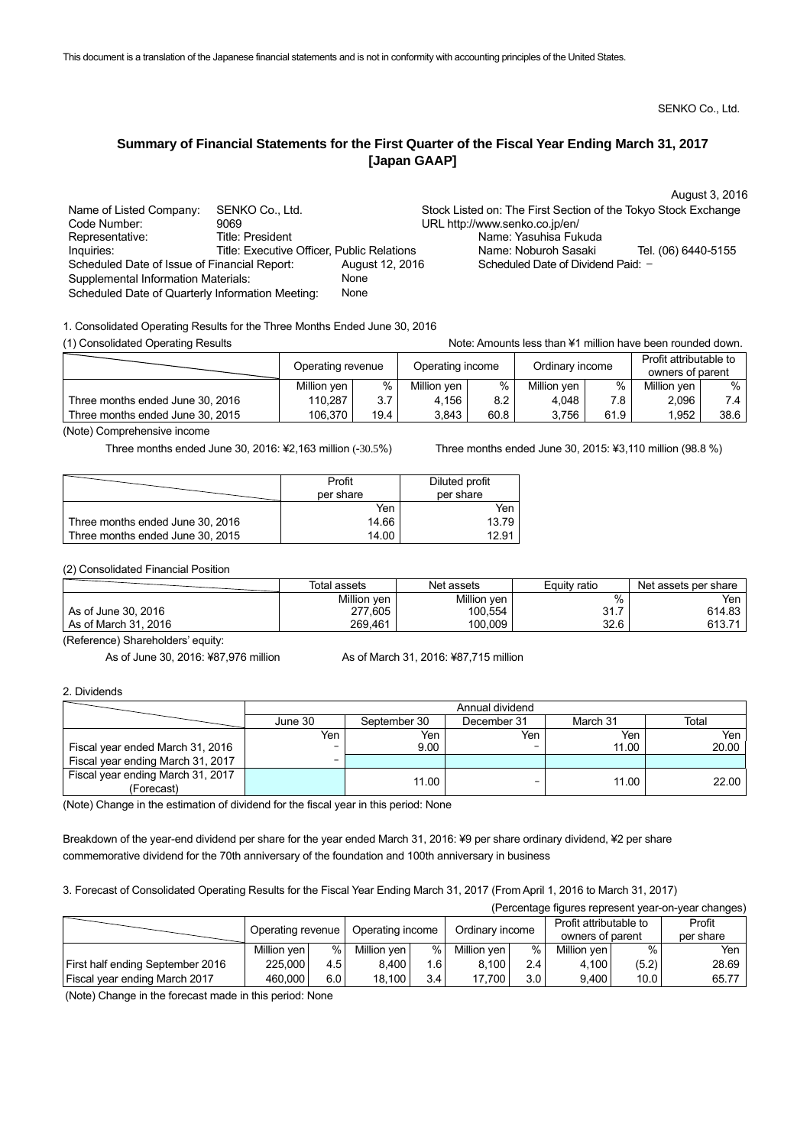SENKO Co., Ltd.

August 3, 2016

## **Summary of Financial Statements for the First Quarter of the Fiscal Year Ending March 31, 2017 [Japan GAAP]**

| Name of Listed Company:                          | SENKO Co., Ltd.                            |                 |                                    | Stock Listed on: The First Section of the Tokyo Stock Exchange |
|--------------------------------------------------|--------------------------------------------|-----------------|------------------------------------|----------------------------------------------------------------|
| Code Number:                                     | 9069                                       |                 | URL http://www.senko.co.jp/en/     |                                                                |
| Representative:                                  | <b>Title: President</b>                    |                 | Name: Yasuhisa Fukuda              |                                                                |
| Inquiries:                                       | Title: Executive Officer, Public Relations |                 | Name: Noburoh Sasaki               | Tel. (06) 6440-5155                                            |
| Scheduled Date of Issue of Financial Report:     |                                            | August 12, 2016 | Scheduled Date of Dividend Paid: - |                                                                |
| Supplemental Information Materials:              |                                            | None            |                                    |                                                                |
| Scheduled Date of Quarterly Information Meeting: |                                            | None            |                                    |                                                                |

1. Consolidated Operating Results for the Three Months Ended June 30, 2016

(1) Consolidated Operating Results **Note:** Amounts less than ¥1 million have been rounded down.

|                                  | Operating revenue |           | Operating income |      | Ordinary income |      | Profit attributable to<br>owners of parent |      |
|----------------------------------|-------------------|-----------|------------------|------|-----------------|------|--------------------------------------------|------|
|                                  | Million ven       | %         | Million yen      | %    | Million yen     | %    | Million ven                                | %    |
| Three months ended June 30, 2016 | 110,287           | 37<br>◡.≀ | 4,156            | 8.2  | 4,048           | 7.8  | 2,096                                      |      |
| Three months ended June 30, 2015 | 106,370           | 19.4      | 3.843            | 60.8 | 3,756           | 61.9 | 1,952                                      | 38.6 |

(Note) Comprehensive income

Three months ended June 30, 2016: ¥2,163 million (-30.5%) Three months ended June 30, 2015: ¥3,110 million (98.8 %)

|                                  | Profit    | Diluted profit |
|----------------------------------|-----------|----------------|
|                                  | per share | per share      |
|                                  | Yen       | Yen            |
| Three months ended June 30, 2016 | 14.66     | 13.79          |
| Three months ended June 30, 2015 | 14.00     | 12.91          |

(2) Consolidated Financial Position

|                      | Total assets | Net assets  | Equity ratio | Net assets per share |
|----------------------|--------------|-------------|--------------|----------------------|
|                      | Million yen  | Million yen | %            | Yen                  |
| As of June 30, 2016  | 277,605      | 100,554     | 31.7         | 614.83               |
| As of March 31, 2016 | 269,461      | 100,009     | 32.6         | 613.71               |

(Reference) Shareholders' equity:

As of June 30, 2016: ¥87,976 million As of March 31, 2016: ¥87,715 million

2. Dividends

|                                                 | Annual dividend |              |             |          |       |  |
|-------------------------------------------------|-----------------|--------------|-------------|----------|-------|--|
|                                                 | June 30         | September 30 | December 31 | March 31 | Total |  |
|                                                 | Yen             | Yen          | Yen         | Yen      | Yen   |  |
| Fiscal year ended March 31, 2016                | -               | 9.00         |             | 11.00    | 20.00 |  |
| Fiscal year ending March 31, 2017               | -               |              |             |          |       |  |
| Fiscal year ending March 31, 2017<br>(Forecast) |                 | 11.00        | -           | 11.00    | 22.00 |  |

(Note) Change in the estimation of dividend for the fiscal year in this period: None

Breakdown of the year-end dividend per share for the year ended March 31, 2016: ¥9 per share ordinary dividend, ¥2 per share commemorative dividend for the 70th anniversary of the foundation and 100th anniversary in business

3. Forecast of Consolidated Operating Results for the Fiscal Year Ending March 31, 2017 (From April 1, 2016 to March 31, 2017)

| (Percentage figures represent year-on-year changes) |                   |       |                  |       |                 |                  |                        |       |           |
|-----------------------------------------------------|-------------------|-------|------------------|-------|-----------------|------------------|------------------------|-------|-----------|
|                                                     | Operating revenue |       | Operating income |       | Ordinary income |                  | Profit attributable to |       | Profit    |
|                                                     |                   |       |                  |       |                 |                  | owners of parent       |       | per share |
|                                                     | Million ven       | %     | Million yen      | %     | Million yen     | %                | Million yen            | %     | Yen       |
| <b>First half ending September 2016</b>             | 225,000           | 4.5 l | 8,400            | 1.6 l | 8,100           | 2.4              | 4,100                  | (5.2) | 28.69     |
| Fiscal year ending March 2017                       | 460,000           | 6.0   | 18,100           | 3.4   | 17.700          | 3.0 <sub>1</sub> | 9,400                  | 10.0  | 65.77     |

(Note) Change in the forecast made in this period: None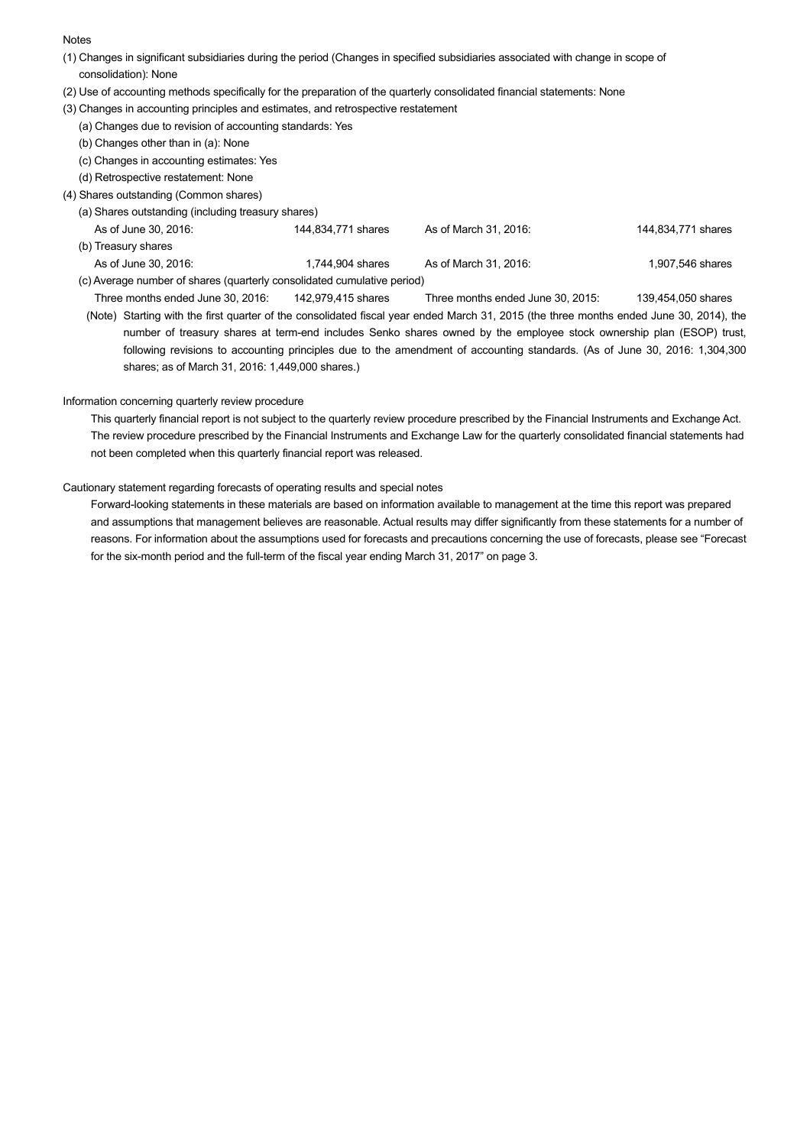## **Notes**

- (1) Changes in significant subsidiaries during the period (Changes in specified subsidiaries associated with change in scope of consolidation): None
- (2) Use of accounting methods specifically for the preparation of the quarterly consolidated financial statements: None
- (3) Changes in accounting principles and estimates, and retrospective restatement
- (a) Changes due to revision of accounting standards: Yes
	- (b) Changes other than in (a): None
	- (c) Changes in accounting estimates: Yes
	- (d) Retrospective restatement: None
- (4) Shares outstanding (Common shares)
	- (a) Shares outstanding (including treasury shares)
	- As of June 30, 2016: The Superinten States As of March 31, 2016: 144,834,771 shares As of March 31, 2016: (b) Treasury shares As of June 30, 2016: 1,744,904 shares As of March 31, 2016: 1,907,546 shares As of March 31, 2016 (c) Average number of shares (quarterly consolidated cumulative period)
		- Three months ended June 30, 2016: 142,979,415 shares Three months ended June 30, 2015: 139,454,050 shares (Note) Starting with the first quarter of the consolidated fiscal year ended March 31, 2015 (the three months ended June 30, 2014), the number of treasury shares at term-end includes Senko shares owned by the employee stock ownership plan (ESOP) trust, following revisions to accounting principles due to the amendment of accounting standards. (As of June 30, 2016: 1,304,300 shares; as of March 31, 2016: 1,449,000 shares.)

## Information concerning quarterly review procedure

 This quarterly financial report is not subject to the quarterly review procedure prescribed by the Financial Instruments and Exchange Act. The review procedure prescribed by the Financial Instruments and Exchange Law for the quarterly consolidated financial statements had not been completed when this quarterly financial report was released.

## Cautionary statement regarding forecasts of operating results and special notes

 Forward-looking statements in these materials are based on information available to management at the time this report was prepared and assumptions that management believes are reasonable. Actual results may differ significantly from these statements for a number of reasons. For information about the assumptions used for forecasts and precautions concerning the use of forecasts, please see "Forecast for the six-month period and the full-term of the fiscal year ending March 31, 2017" on page 3.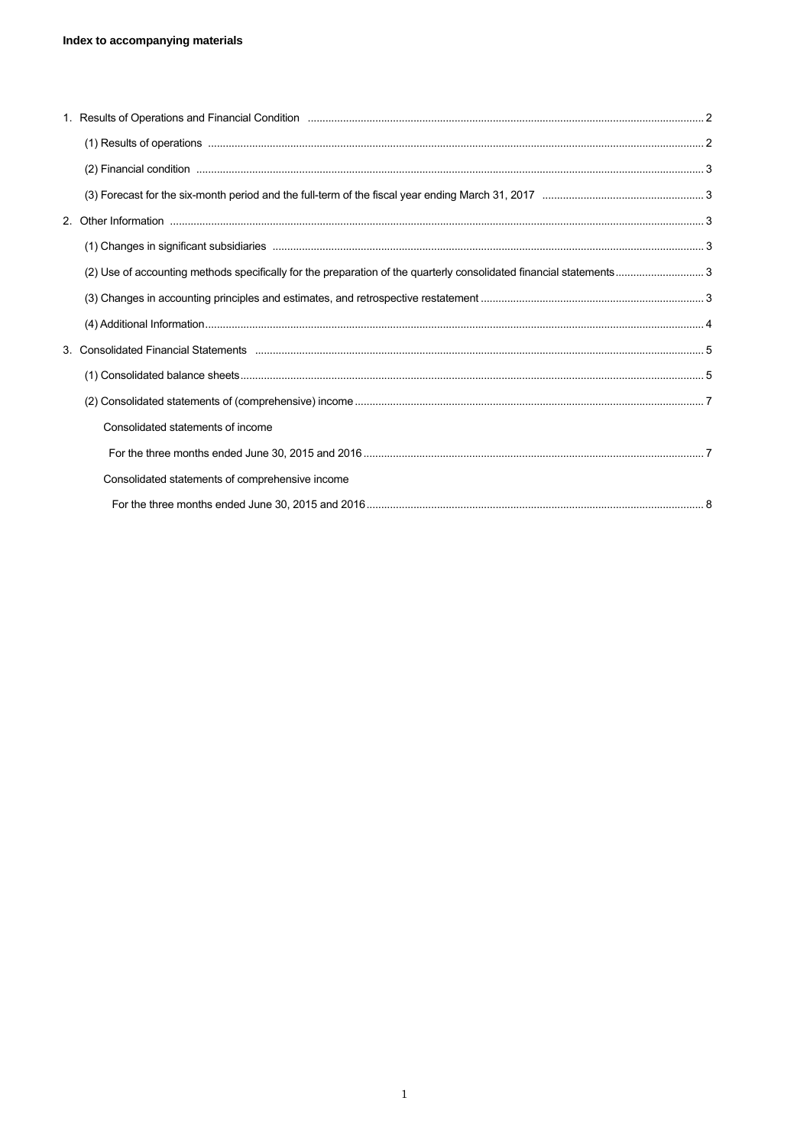| Consolidated statements of income               |  |
|-------------------------------------------------|--|
|                                                 |  |
| Consolidated statements of comprehensive income |  |
|                                                 |  |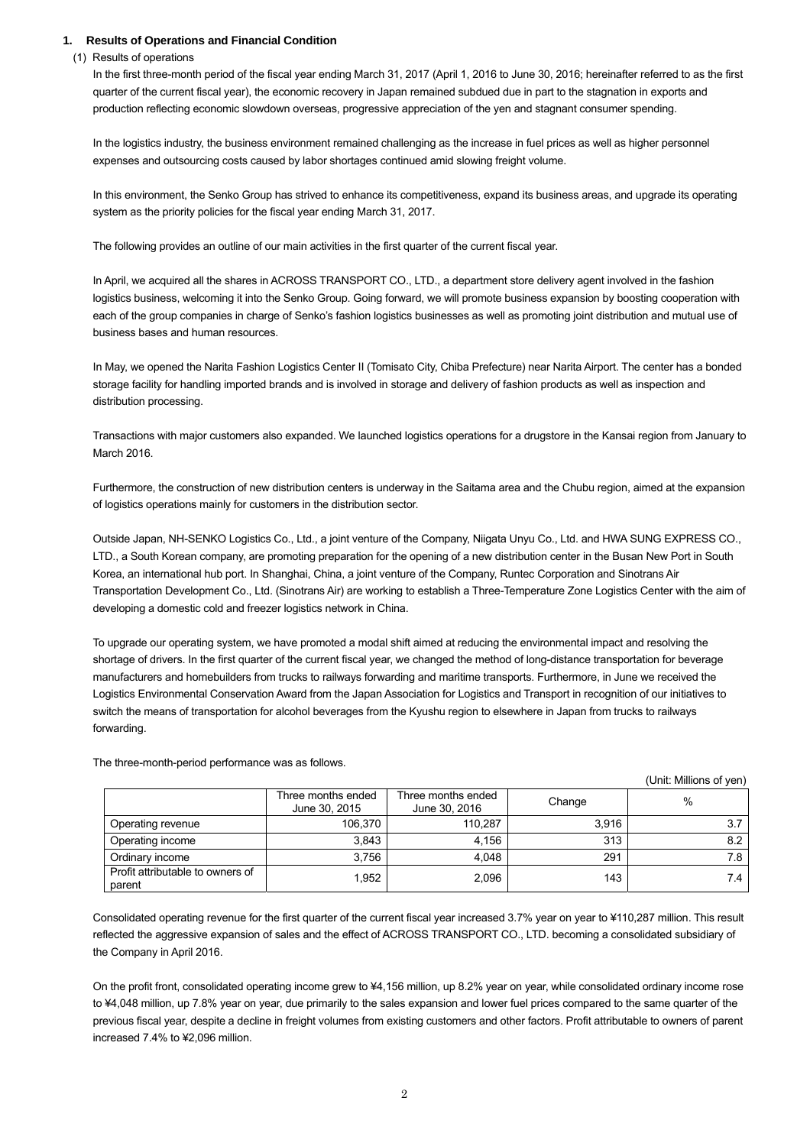## **1. Results of Operations and Financial Condition**

(1) Results of operations

In the first three-month period of the fiscal year ending March 31, 2017 (April 1, 2016 to June 30, 2016; hereinafter referred to as the first quarter of the current fiscal year), the economic recovery in Japan remained subdued due in part to the stagnation in exports and production reflecting economic slowdown overseas, progressive appreciation of the yen and stagnant consumer spending.

In the logistics industry, the business environment remained challenging as the increase in fuel prices as well as higher personnel expenses and outsourcing costs caused by labor shortages continued amid slowing freight volume.

In this environment, the Senko Group has strived to enhance its competitiveness, expand its business areas, and upgrade its operating system as the priority policies for the fiscal year ending March 31, 2017.

The following provides an outline of our main activities in the first quarter of the current fiscal year.

In April, we acquired all the shares in ACROSS TRANSPORT CO., LTD., a department store delivery agent involved in the fashion logistics business, welcoming it into the Senko Group. Going forward, we will promote business expansion by boosting cooperation with each of the group companies in charge of Senko's fashion logistics businesses as well as promoting joint distribution and mutual use of business bases and human resources.

In May, we opened the Narita Fashion Logistics Center II (Tomisato City, Chiba Prefecture) near Narita Airport. The center has a bonded storage facility for handling imported brands and is involved in storage and delivery of fashion products as well as inspection and distribution processing.

Transactions with major customers also expanded. We launched logistics operations for a drugstore in the Kansai region from January to March 2016.

Furthermore, the construction of new distribution centers is underway in the Saitama area and the Chubu region, aimed at the expansion of logistics operations mainly for customers in the distribution sector.

Outside Japan, NH-SENKO Logistics Co., Ltd., a joint venture of the Company, Niigata Unyu Co., Ltd. and HWA SUNG EXPRESS CO., LTD., a South Korean company, are promoting preparation for the opening of a new distribution center in the Busan New Port in South Korea, an international hub port. In Shanghai, China, a joint venture of the Company, Runtec Corporation and Sinotrans Air Transportation Development Co., Ltd. (Sinotrans Air) are working to establish a Three-Temperature Zone Logistics Center with the aim of developing a domestic cold and freezer logistics network in China.

To upgrade our operating system, we have promoted a modal shift aimed at reducing the environmental impact and resolving the shortage of drivers. In the first quarter of the current fiscal year, we changed the method of long-distance transportation for beverage manufacturers and homebuilders from trucks to railways forwarding and maritime transports. Furthermore, in June we received the Logistics Environmental Conservation Award from the Japan Association for Logistics and Transport in recognition of our initiatives to switch the means of transportation for alcohol beverages from the Kyushu region to elsewhere in Japan from trucks to railways forwarding.

|                                            |                                     |                                     |        | , וויוס א וט פווטוווויוואו וויווויווען |
|--------------------------------------------|-------------------------------------|-------------------------------------|--------|----------------------------------------|
|                                            | Three months ended<br>June 30, 2015 | Three months ended<br>June 30, 2016 | Change | %                                      |
| Operating revenue                          | 106,370                             | 110,287                             | 3,916  | 3.7                                    |
| Operating income                           | 3,843                               | 4,156                               | 313    | 8.2                                    |
| Ordinary income                            | 3,756                               | 4,048                               | 291    | 7.8                                    |
| Profit attributable to owners of<br>parent | 1,952                               | 2,096                               | 143    | 7.4                                    |

 $(U_{\text{init}} \wedge M)$ 

The three-month-period performance was as follows.

Consolidated operating revenue for the first quarter of the current fiscal year increased 3.7% year on year to ¥110,287 million. This result reflected the aggressive expansion of sales and the effect of ACROSS TRANSPORT CO., LTD. becoming a consolidated subsidiary of the Company in April 2016.

On the profit front, consolidated operating income grew to ¥4,156 million, up 8.2% year on year, while consolidated ordinary income rose to ¥4,048 million, up 7.8% year on year, due primarily to the sales expansion and lower fuel prices compared to the same quarter of the previous fiscal year, despite a decline in freight volumes from existing customers and other factors. Profit attributable to owners of parent increased 7.4% to ¥2,096 million.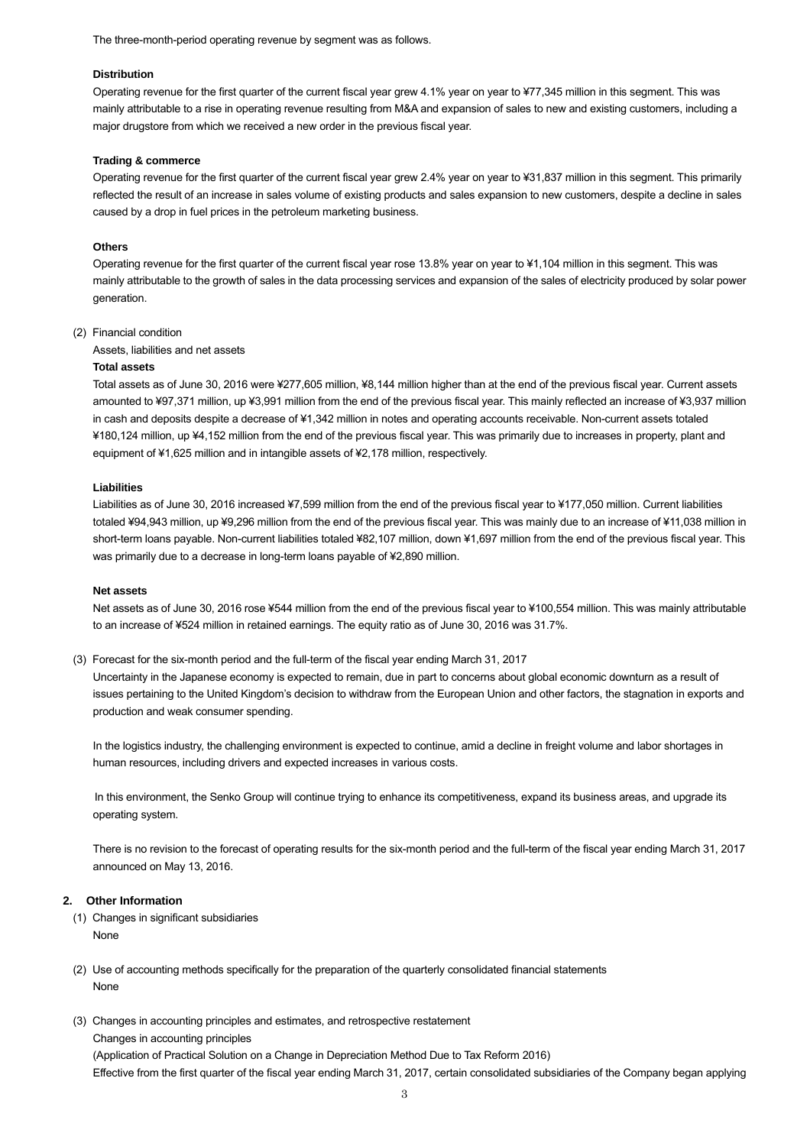The three-month-period operating revenue by segment was as follows.

#### **Distribution**

Operating revenue for the first quarter of the current fiscal year grew 4.1% year on year to ¥77,345 million in this segment. This was mainly attributable to a rise in operating revenue resulting from M&A and expansion of sales to new and existing customers, including a major drugstore from which we received a new order in the previous fiscal year.

### **Trading & commerce**

Operating revenue for the first quarter of the current fiscal year grew 2.4% year on year to ¥31,837 million in this segment. This primarily reflected the result of an increase in sales volume of existing products and sales expansion to new customers, despite a decline in sales caused by a drop in fuel prices in the petroleum marketing business.

#### **Others**

Operating revenue for the first quarter of the current fiscal year rose 13.8% year on year to ¥1,104 million in this segment. This was mainly attributable to the growth of sales in the data processing services and expansion of the sales of electricity produced by solar power generation.

#### (2) Financial condition

Assets, liabilities and net assets

## **Total assets**

Total assets as of June 30, 2016 were ¥277,605 million, ¥8,144 million higher than at the end of the previous fiscal year. Current assets amounted to ¥97,371 million, up ¥3,991 million from the end of the previous fiscal year. This mainly reflected an increase of ¥3,937 million in cash and deposits despite a decrease of ¥1,342 million in notes and operating accounts receivable. Non-current assets totaled ¥180,124 million, up ¥4,152 million from the end of the previous fiscal year. This was primarily due to increases in property, plant and equipment of ¥1,625 million and in intangible assets of ¥2,178 million, respectively.

#### **Liabilities**

Liabilities as of June 30, 2016 increased ¥7,599 million from the end of the previous fiscal year to ¥177,050 million. Current liabilities totaled ¥94,943 million, up ¥9,296 million from the end of the previous fiscal year. This was mainly due to an increase of ¥11,038 million in short-term loans payable. Non-current liabilities totaled ¥82,107 million, down ¥1,697 million from the end of the previous fiscal year. This was primarily due to a decrease in long-term loans payable of ¥2,890 million.

#### **Net assets**

Net assets as of June 30, 2016 rose ¥544 million from the end of the previous fiscal year to ¥100,554 million. This was mainly attributable to an increase of ¥524 million in retained earnings. The equity ratio as of June 30, 2016 was 31.7%.

(3) Forecast for the six-month period and the full-term of the fiscal year ending March 31, 2017

Uncertainty in the Japanese economy is expected to remain, due in part to concerns about global economic downturn as a result of issues pertaining to the United Kingdom's decision to withdraw from the European Union and other factors, the stagnation in exports and production and weak consumer spending.

In the logistics industry, the challenging environment is expected to continue, amid a decline in freight volume and labor shortages in human resources, including drivers and expected increases in various costs.

In this environment, the Senko Group will continue trying to enhance its competitiveness, expand its business areas, and upgrade its operating system.

There is no revision to the forecast of operating results for the six-month period and the full-term of the fiscal year ending March 31, 2017 announced on May 13, 2016.

### **2. Other Information**

- (1) Changes in significant subsidiaries None
- (2) Use of accounting methods specifically for the preparation of the quarterly consolidated financial statements None
- (3) Changes in accounting principles and estimates, and retrospective restatement

Changes in accounting principles

(Application of Practical Solution on a Change in Depreciation Method Due to Tax Reform 2016) Effective from the first quarter of the fiscal year ending March 31, 2017, certain consolidated subsidiaries of the Company began applying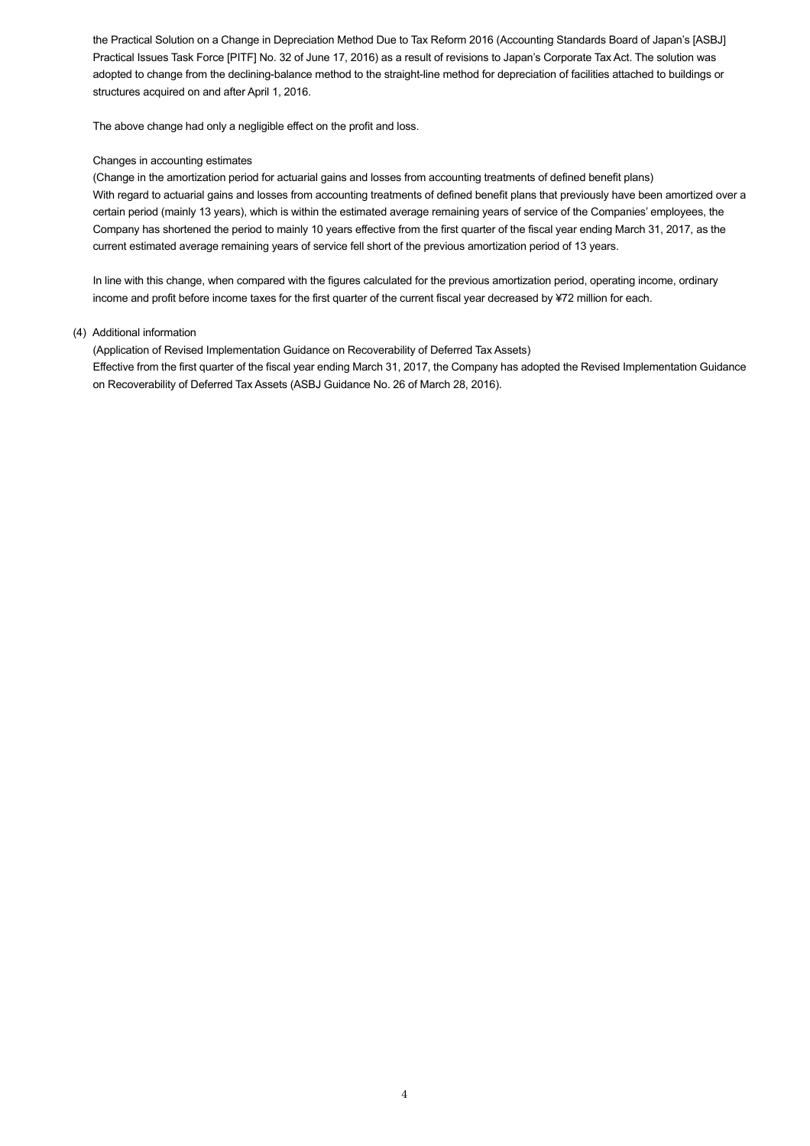the Practical Solution on a Change in Depreciation Method Due to Tax Reform 2016 (Accounting Standards Board of Japan's [ASBJ] Practical Issues Task Force [PITF] No. 32 of June 17, 2016) as a result of revisions to Japan's Corporate Tax Act. The solution was adopted to change from the declining-balance method to the straight-line method for depreciation of facilities attached to buildings or structures acquired on and after April 1, 2016.

The above change had only a negligible effect on the profit and loss.

## Changes in accounting estimates

(Change in the amortization period for actuarial gains and losses from accounting treatments of defined benefit plans) With regard to actuarial gains and losses from accounting treatments of defined benefit plans that previously have been amortized over a certain period (mainly 13 years), which is within the estimated average remaining years of service of the Companies' employees, the Company has shortened the period to mainly 10 years effective from the first quarter of the fiscal year ending March 31, 2017, as the current estimated average remaining years of service fell short of the previous amortization period of 13 years.

In line with this change, when compared with the figures calculated for the previous amortization period, operating income, ordinary income and profit before income taxes for the first quarter of the current fiscal year decreased by ¥72 million for each.

## (4) Additional information

(Application of Revised Implementation Guidance on Recoverability of Deferred Tax Assets) Effective from the first quarter of the fiscal year ending March 31, 2017, the Company has adopted the Revised Implementation Guidance on Recoverability of Deferred Tax Assets (ASBJ Guidance No. 26 of March 28, 2016).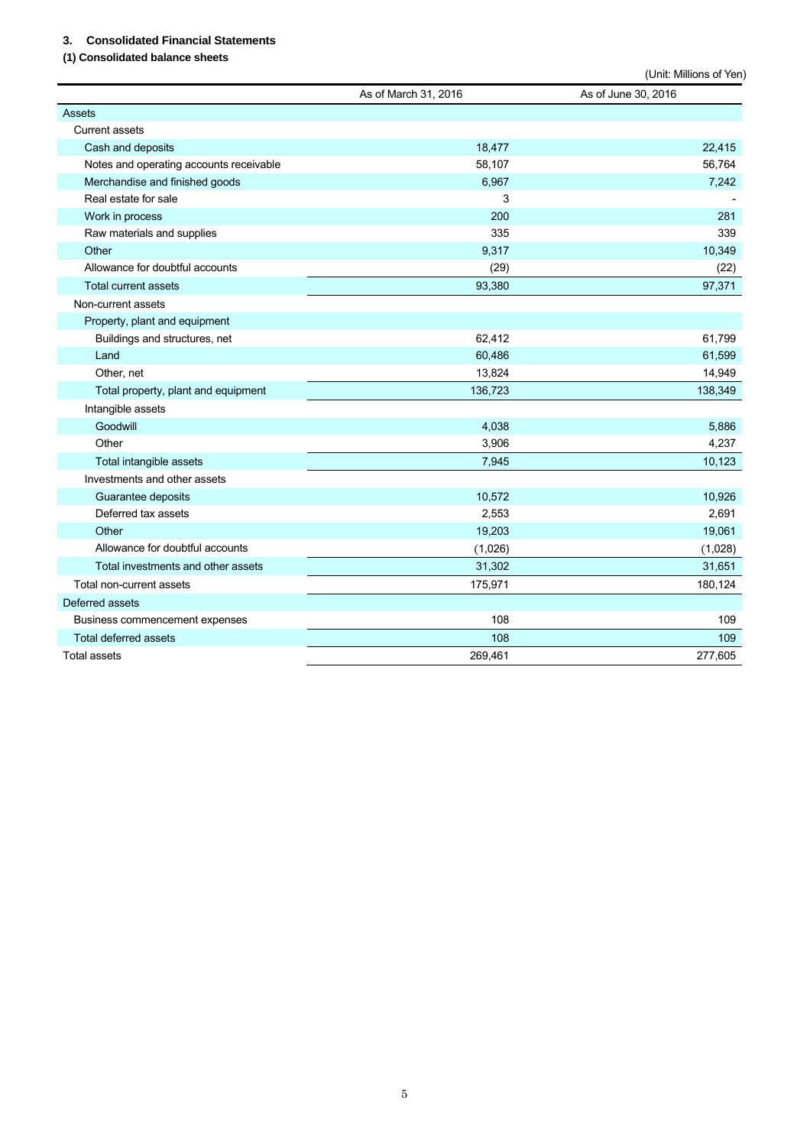## **3. Consolidated Financial Statements**

## **(1) Consolidated balance sheets**

|                                         |                      | (Unit: Millions of Yen) |
|-----------------------------------------|----------------------|-------------------------|
|                                         | As of March 31, 2016 | As of June 30, 2016     |
| <b>Assets</b>                           |                      |                         |
| <b>Current assets</b>                   |                      |                         |
| Cash and deposits                       | 18,477               | 22,415                  |
| Notes and operating accounts receivable | 58,107               | 56,764                  |
| Merchandise and finished goods          | 6,967                | 7,242                   |
| Real estate for sale                    | 3                    |                         |
| Work in process                         | 200                  | 281                     |
| Raw materials and supplies              | 335                  | 339                     |
| Other                                   | 9,317                | 10,349                  |
| Allowance for doubtful accounts         | (29)                 | (22)                    |
| <b>Total current assets</b>             | 93,380               | 97,371                  |
| Non-current assets                      |                      |                         |
| Property, plant and equipment           |                      |                         |
| Buildings and structures, net           | 62,412               | 61,799                  |
| Land                                    | 60,486               | 61,599                  |
| Other, net                              | 13,824               | 14,949                  |
| Total property, plant and equipment     | 136,723              | 138,349                 |
| Intangible assets                       |                      |                         |
| Goodwill                                | 4,038                | 5,886                   |
| Other                                   | 3,906                | 4,237                   |
| Total intangible assets                 | 7,945                | 10,123                  |
| Investments and other assets            |                      |                         |
| Guarantee deposits                      | 10,572               | 10,926                  |
| Deferred tax assets                     | 2,553                | 2,691                   |
| Other                                   | 19,203               | 19,061                  |
| Allowance for doubtful accounts         | (1,026)              | (1,028)                 |
| Total investments and other assets      | 31,302               | 31,651                  |
| Total non-current assets                | 175,971              | 180,124                 |
| Deferred assets                         |                      |                         |
| Business commencement expenses          | 108                  | 109                     |
| <b>Total deferred assets</b>            | 108                  | 109                     |
| <b>Total assets</b>                     | 269,461              | 277,605                 |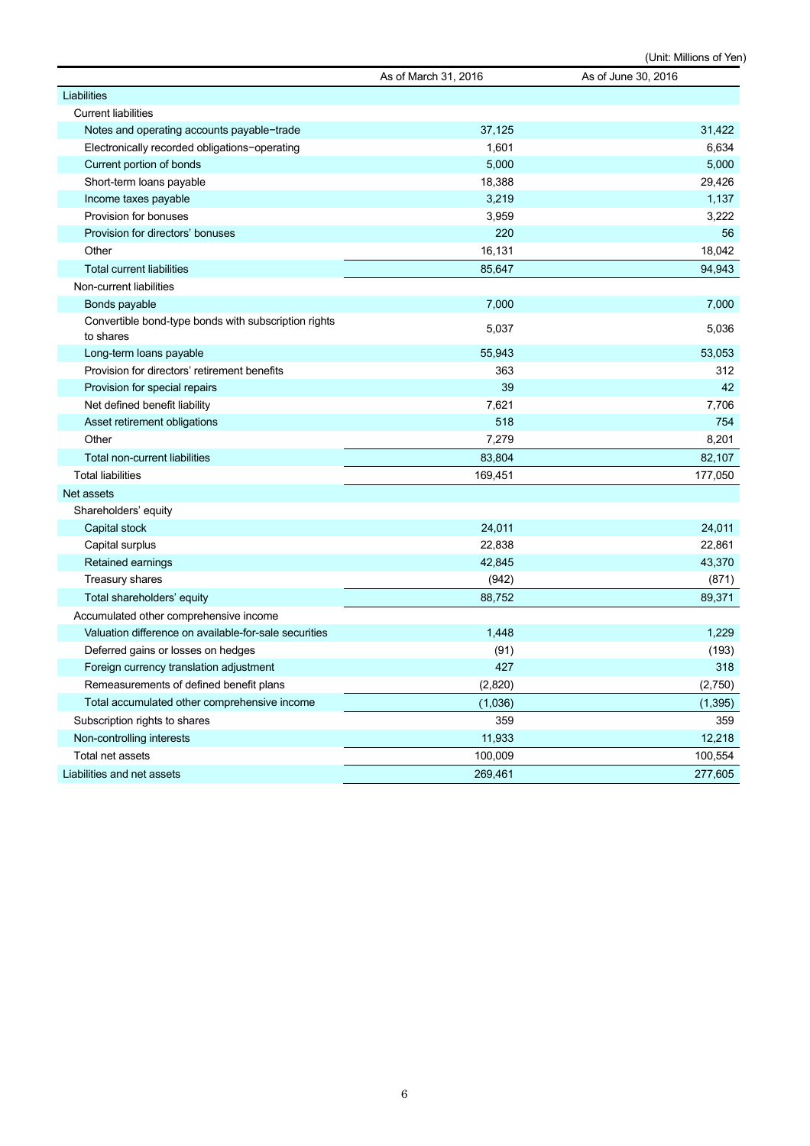(Unit: Millions of Yen)

|                                                                   | As of March 31, 2016 | As of June 30, 2016 |
|-------------------------------------------------------------------|----------------------|---------------------|
| Liabilities                                                       |                      |                     |
| <b>Current liabilities</b>                                        |                      |                     |
| Notes and operating accounts payable-trade                        | 37,125               | 31,422              |
| Electronically recorded obligations-operating                     | 1,601                | 6,634               |
| Current portion of bonds                                          | 5,000                | 5,000               |
| Short-term loans payable                                          | 18,388               | 29,426              |
| Income taxes payable                                              | 3,219                | 1,137               |
| Provision for bonuses                                             | 3,959                | 3,222               |
| Provision for directors' bonuses                                  | 220                  | 56                  |
| Other                                                             | 16,131               | 18,042              |
| <b>Total current liabilities</b>                                  | 85,647               | 94,943              |
| Non-current liabilities                                           |                      |                     |
| Bonds payable                                                     | 7,000                | 7,000               |
| Convertible bond-type bonds with subscription rights<br>to shares | 5,037                | 5,036               |
| Long-term loans payable                                           | 55,943               | 53,053              |
| Provision for directors' retirement benefits                      | 363                  | 312                 |
| Provision for special repairs                                     | 39                   | 42                  |
| Net defined benefit liability                                     | 7,621                | 7,706               |
| Asset retirement obligations                                      | 518                  | 754                 |
| Other                                                             | 7,279                | 8,201               |
| Total non-current liabilities                                     | 83,804               | 82,107              |
| <b>Total liabilities</b>                                          | 169,451              | 177,050             |
| Net assets                                                        |                      |                     |
| Shareholders' equity                                              |                      |                     |
| Capital stock                                                     | 24,011               | 24,011              |
| Capital surplus                                                   | 22,838               | 22,861              |
| Retained earnings                                                 | 42,845               | 43,370              |
| Treasury shares                                                   | (942)                | (871)               |
| Total shareholders' equity                                        | 88,752               | 89,371              |
| Accumulated other comprehensive income                            |                      |                     |
| Valuation difference on available-for-sale securities             | 1,448                | 1,229               |
| Deferred gains or losses on hedges                                | (91)                 | (193)               |
| Foreign currency translation adjustment                           | 427                  | 318                 |
| Remeasurements of defined benefit plans                           | (2,820)              | (2,750)             |
| Total accumulated other comprehensive income                      | (1,036)              | (1, 395)            |
| Subscription rights to shares                                     | 359                  | 359                 |
| Non-controlling interests                                         | 11,933               | 12,218              |
| Total net assets                                                  | 100,009              | 100,554             |
| Liabilities and net assets                                        | 269,461              | 277,605             |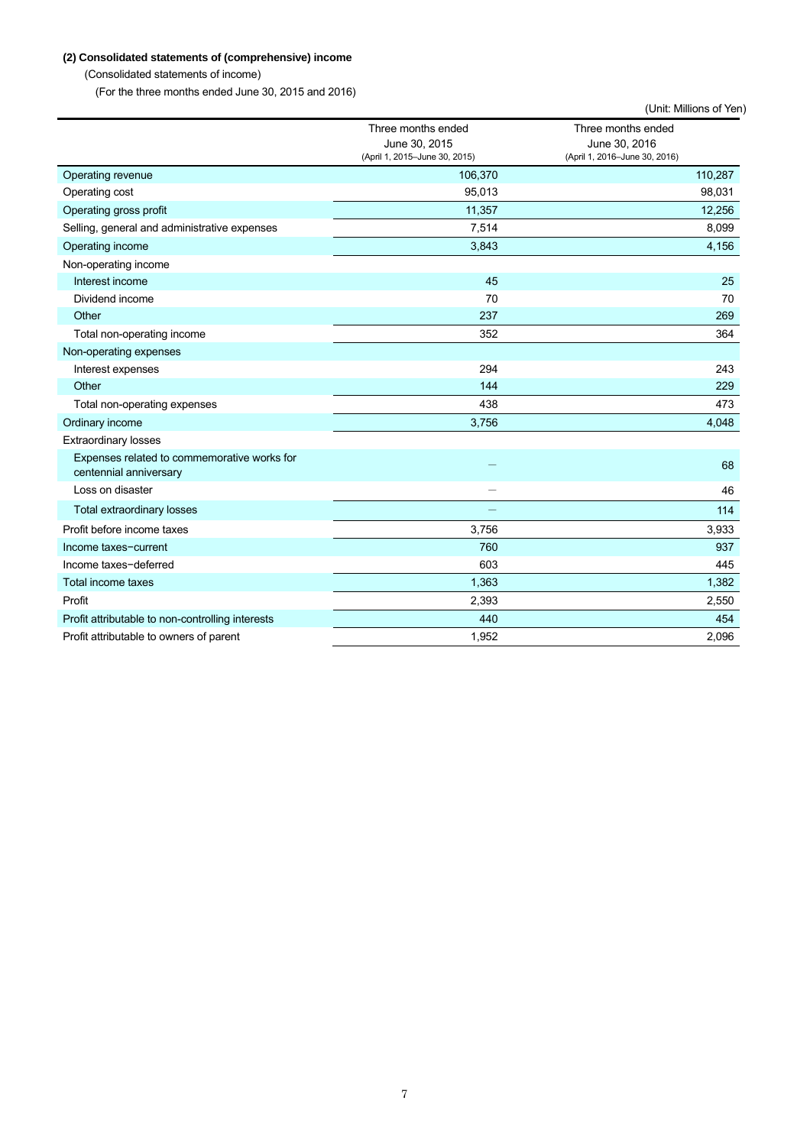# **(2) Consolidated statements of (comprehensive) income**

(Consolidated statements of income)

(For the three months ended June 30, 2015 and 2016)

|                                                                       |                                                                      | (Unit: Millions of Yen)                                              |
|-----------------------------------------------------------------------|----------------------------------------------------------------------|----------------------------------------------------------------------|
|                                                                       | Three months ended<br>June 30, 2015<br>(April 1, 2015-June 30, 2015) | Three months ended<br>June 30, 2016<br>(April 1, 2016-June 30, 2016) |
| Operating revenue                                                     | 106,370                                                              | 110,287                                                              |
| Operating cost                                                        | 95,013                                                               | 98,031                                                               |
| Operating gross profit                                                | 11,357                                                               | 12,256                                                               |
| Selling, general and administrative expenses                          | 7,514                                                                | 8,099                                                                |
| Operating income                                                      | 3,843                                                                | 4,156                                                                |
| Non-operating income                                                  |                                                                      |                                                                      |
| Interest income                                                       | 45                                                                   | 25                                                                   |
| Dividend income                                                       | 70                                                                   | 70                                                                   |
| Other                                                                 | 237                                                                  | 269                                                                  |
| Total non-operating income                                            | 352                                                                  | 364                                                                  |
| Non-operating expenses                                                |                                                                      |                                                                      |
| Interest expenses                                                     | 294                                                                  | 243                                                                  |
| Other                                                                 | 144                                                                  | 229                                                                  |
| Total non-operating expenses                                          | 438                                                                  | 473                                                                  |
| Ordinary income                                                       | 3,756                                                                | 4,048                                                                |
| <b>Extraordinary losses</b>                                           |                                                                      |                                                                      |
| Expenses related to commemorative works for<br>centennial anniversary |                                                                      | 68                                                                   |
| Loss on disaster                                                      |                                                                      | 46                                                                   |
| <b>Total extraordinary losses</b>                                     |                                                                      | 114                                                                  |
| Profit before income taxes                                            | 3,756                                                                | 3,933                                                                |
| Income taxes-current                                                  | 760                                                                  | 937                                                                  |
| Income taxes-deferred                                                 | 603                                                                  | 445                                                                  |
| Total income taxes                                                    | 1,363                                                                | 1,382                                                                |
| Profit                                                                | 2,393                                                                | 2,550                                                                |
| Profit attributable to non-controlling interests                      | 440                                                                  | 454                                                                  |
| Profit attributable to owners of parent                               | 1,952                                                                | 2,096                                                                |